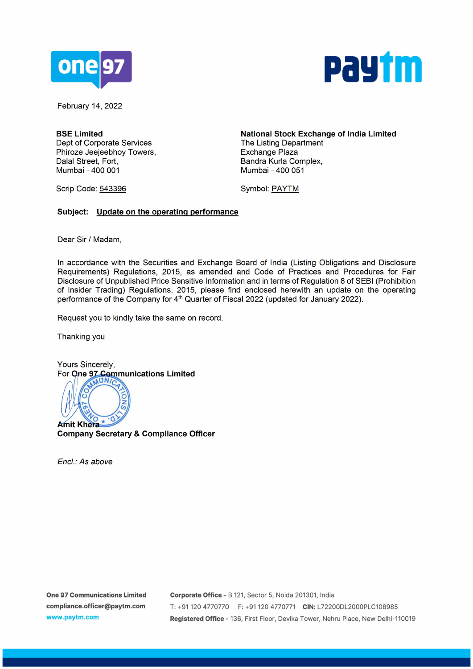



February 14, 2022

**BSE Limited**  Dept of Corporate Services Phiroze Jeejeebhoy Towers, Dalal Street, Fort, Mumbai - 400 001

Scrip Code: 543396

**National Stock Exchange of India Limited**  The Listing Department Exchange Plaza Sandra Kurla Complex, Mumbai - 400 051

Symbol: PAYTM

## **Subject: Update on the operating performance**

Dear Sir/ Madam,

In accordance with the Securities and Exchange Board of India (Listing Obligations and Disclosure Requirements) Regulations, 2015, as amended and Code of Practices and Procedures for Fair Disclosure of Unpublished Price Sensitive Information and in terms of Regulation 8 of SEBI (Prohibition of Insider Trading) Regulations, 2015, please find enclosed herewith an update on the operating performance of the Company for 4<sup>th</sup> Quarter of Fiscal 2022 (updated for January 2022).

Request you to kindly take the same on record.

Thanking you

Yours Sincerely, For **One 97 Communications Limited** 



**Company Secretary** & **Compliance Officer** 

Encl.: As above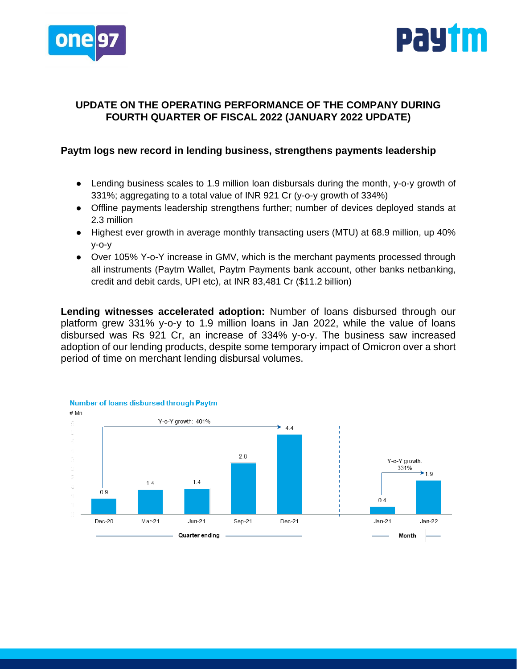



## **UPDATE ON THE OPERATING PERFORMANCE OF THE COMPANY DURING FOURTH QUARTER OF FISCAL 2022 (JANUARY 2022 UPDATE)**

## **Paytm logs new record in lending business, strengthens payments leadership**

- Lending business scales to 1.9 million loan disbursals during the month, y-o-y growth of 331%; aggregating to a total value of INR 921 Cr (y-o-y growth of 334%)
- Offline payments leadership strengthens further; number of devices deployed stands at 2.3 million
- Highest ever growth in average monthly transacting users (MTU) at 68.9 million, up 40% y-o-y
- Over 105% Y-o-Y increase in GMV, which is the merchant payments processed through all instruments (Paytm Wallet, Paytm Payments bank account, other banks netbanking, credit and debit cards, UPI etc), at INR 83,481 Cr (\$11.2 billion)

**Lending witnesses accelerated adoption:** Number of loans disbursed through our platform grew 331% y-o-y to 1.9 million loans in Jan 2022, while the value of loans disbursed was Rs 921 Cr, an increase of 334% y-o-y. The business saw increased adoption of our lending products, despite some temporary impact of Omicron over a short period of time on merchant lending disbursal volumes.

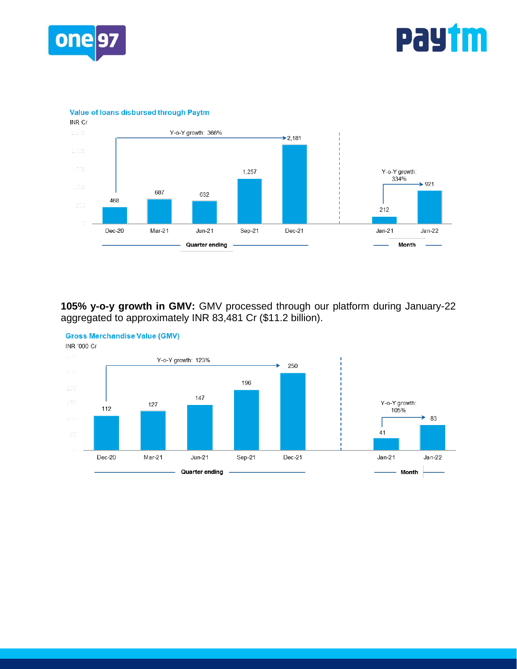

## **PaYtm**

**Value of loans disbursed through Paytm** 



**105% y-o-y growth in GMV:** GMV processed through our platform during January-22 aggregated to approximately INR 83,481 Cr (\$11.2 billion).



**Gross Merchandise Value (GMV)**  INR '000 Cr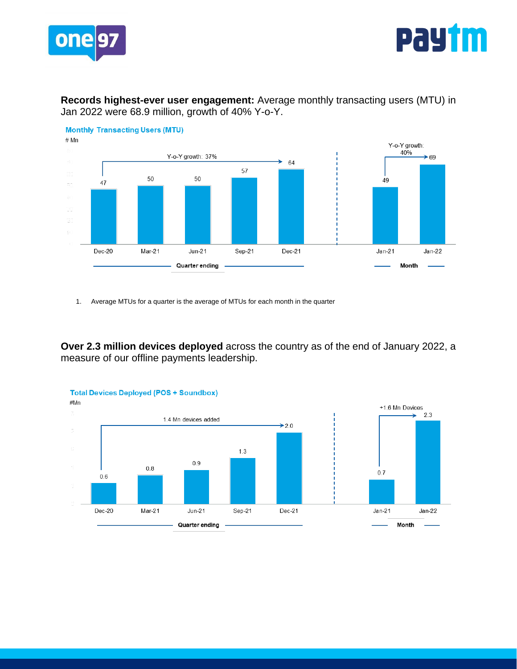



**Records highest-ever user engagement:** Average monthly transacting users (MTU) in Jan 2022 were 68.9 million, growth of 40% Y-o-Y.



1. Average MTUs for a quarter is the average of MTUs for each month in the quarter

**Over 2.3 million devices deployed** across the country as of the end of January 2022, a measure of our offline payments leadership.